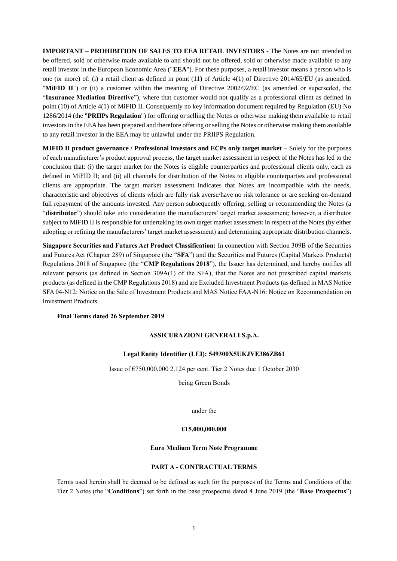**IMPORTANT – PROHIBITION OF SALES TO EEA RETAIL INVESTORS** - The Notes are not intended to be offered, sold or otherwise made available to and should not be offered, sold or otherwise made available to any retail investor in the European Economic Area ("**EEA**"). For these purposes, a retail investor means a person who is one (or more) of: (i) a retail client as defined in point (11) of Article 4(1) of Directive 2014/65/EU (as amended, "**MiFID II**") or (ii) a customer within the meaning of Directive 2002/92/EC (as amended or superseded, the "**Insurance Mediation Directive**"), where that customer would not qualify as a professional client as defined in point (10) of Article 4(1) of MiFID II. Consequently no key information document required by Regulation (EU) No 1286/2014 (the "**PRIIPs Regulation**") for offering or selling the Notes or otherwise making them available to retail investors in the EEA has been prepared and therefore offering or selling the Notes or otherwise making them available to any retail investor in the EEA may be unlawful under the PRIIPS Regulation.

**MIFID II product governance / Professional investors and ECPs only target market** – Solely for the purposes of each manufacturer's product approval process, the target market assessment in respect of the Notes has led to the conclusion that: (i) the target market for the Notes is eligible counterparties and professional clients only, each as defined in MiFID II; and (ii) all channels for distribution of the Notes to eligible counterparties and professional clients are appropriate. The target market assessment indicates that Notes are incompatible with the needs, characteristic and objectives of clients which are fully risk averse/have no risk tolerance or are seeking on-demand full repayment of the amounts invested. Any person subsequently offering, selling or recommending the Notes (a "**distributor**") should take into consideration the manufacturers' target market assessment; however, a distributor subject to MiFID II is responsible for undertaking its own target market assessment in respect of the Notes (by either adopting or refining the manufacturers' target market assessment) and determining appropriate distribution channels.

**Singapore Securities and Futures Act Product Classification:** In connection with Section 309B of the Securities and Futures Act (Chapter 289) of Singapore (the "**SFA**") and the Securities and Futures (Capital Markets Products) Regulations 2018 of Singapore (the "**CMP Regulations 2018**"), the Issuer has determined, and hereby notifies all relevant persons (as defined in Section 309A(1) of the SFA), that the Notes are not prescribed capital markets products (as defined in the CMP Regulations 2018) and are Excluded Investment Products (as defined in MAS Notice SFA 04-N12: Notice on the Sale of Investment Products and MAS Notice FAA-N16: Notice on Recommendation on Investment Products.

# **Final Terms dated 26 September 2019**

# **ASSICURAZIONI GENERALI S.p.A.**

## **Legal Entity Identifier (LEI): 549300X5UKJVE386ZB61**

Issue of €750,000,000 2.124 per cent. Tier 2 Notes due 1 October 2030

being Green Bonds

under the

### **€15,000,000,000**

### **Euro Medium Term Note Programme**

## **PART A - CONTRACTUAL TERMS**

Terms used herein shall be deemed to be defined as such for the purposes of the Terms and Conditions of the Tier 2 Notes (the "**Conditions**") set forth in the base prospectus dated 4 June 2019 (the "**Base Prospectus**")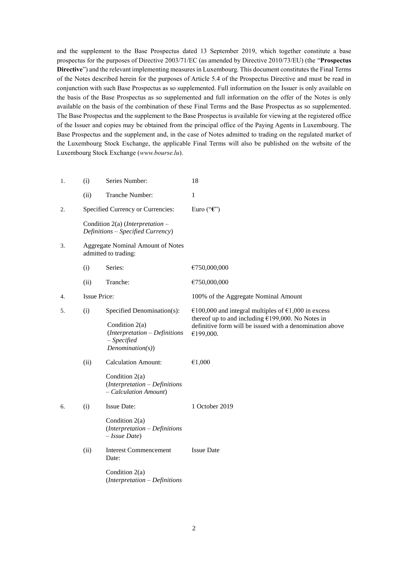and the supplement to the Base Prospectus dated 13 September 2019, which together constitute a base prospectus for the purposes of Directive 2003/71/EC (as amended by Directive 2010/73/EU) (the "**Prospectus Directive**") and the relevant implementing measures in Luxembourg. This document constitutes the Final Terms of the Notes described herein for the purposes of Article 5.4 of the Prospectus Directive and must be read in conjunction with such Base Prospectus as so supplemented. Full information on the Issuer is only available on the basis of the Base Prospectus as so supplemented and full information on the offer of the Notes is only available on the basis of the combination of these Final Terms and the Base Prospectus as so supplemented. The Base Prospectus and the supplement to the Base Prospectus is available for viewing at the registered office of the Issuer and copies may be obtained from the principal office of the Paying Agents in Luxembourg. The Base Prospectus and the supplement and, in the case of Notes admitted to trading on the regulated market of the Luxembourg Stock Exchange, the applicable Final Terms will also be published on the website of the Luxembourg Stock Exchange (*www.bourse.lu*).

| 1. | (i)                                                       | Series Number:                                                                                                     | 18                                                                                                                                                                                   |
|----|-----------------------------------------------------------|--------------------------------------------------------------------------------------------------------------------|--------------------------------------------------------------------------------------------------------------------------------------------------------------------------------------|
|    | (ii)                                                      | Tranche Number:                                                                                                    | 1                                                                                                                                                                                    |
| 2. |                                                           | Specified Currency or Currencies:                                                                                  | Euro (" $\mathbf{\hat{\epsilon}}$ ")                                                                                                                                                 |
|    |                                                           | Condition 2(a) (Interpretation $-$<br>Definitions - Specified Currency)                                            |                                                                                                                                                                                      |
| 3. | Aggregate Nominal Amount of Notes<br>admitted to trading: |                                                                                                                    |                                                                                                                                                                                      |
|    | (i)                                                       | Series:                                                                                                            | €750,000,000                                                                                                                                                                         |
|    | (ii)                                                      | Tranche:                                                                                                           | €750,000,000                                                                                                                                                                         |
| 4. | <b>Issue Price:</b>                                       |                                                                                                                    | 100% of the Aggregate Nominal Amount                                                                                                                                                 |
| 5. | (i)                                                       | Specified Denomination(s):<br>Condition 2(a)<br>$(Interpretation - Definitions$<br>$-$ Specified<br>Denominator(s) | €100,000 and integral multiples of €1,000 in excess<br>thereof up to and including $£199,000$ . No Notes in<br>definitive form will be issued with a denomination above<br>€199,000. |
|    | (ii)                                                      | <b>Calculation Amount:</b><br>Condition 2(a)<br>(Interpretation - Definitions<br>- Calculation Amount)             | €1,000                                                                                                                                                                               |
| 6. | (i)                                                       | <b>Issue Date:</b><br>Condition $2(a)$<br>$(Interpretation - Definitions$<br>$-$ <i>Issue Date</i> )               | 1 October 2019                                                                                                                                                                       |
|    | (ii)                                                      | <b>Interest Commencement</b><br>Date:<br>Condition $2(a)$                                                          | <b>Issue Date</b>                                                                                                                                                                    |
|    |                                                           | (Interpretation - Definitions                                                                                      |                                                                                                                                                                                      |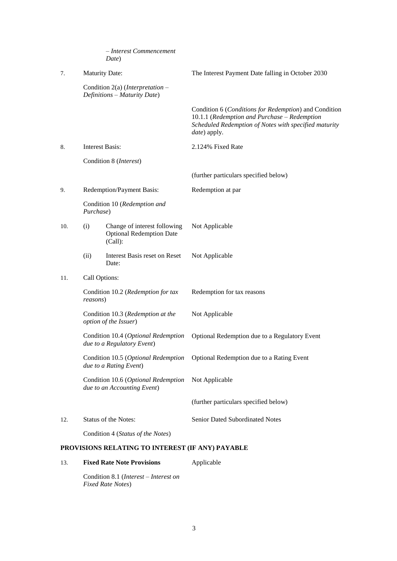|     |                        | - Interest Commencement<br>Date)                                           |                                                                                                                                                                                |
|-----|------------------------|----------------------------------------------------------------------------|--------------------------------------------------------------------------------------------------------------------------------------------------------------------------------|
| 7.  | <b>Maturity Date:</b>  |                                                                            | The Interest Payment Date falling in October 2030                                                                                                                              |
|     |                        | Condition 2(a) (Interpretation –<br>Definitions - Maturity Date)           |                                                                                                                                                                                |
|     |                        |                                                                            | Condition 6 (Conditions for Redemption) and Condition<br>10.1.1 (Redemption and Purchase - Redemption<br>Scheduled Redemption of Notes with specified maturity<br>date) apply. |
| 8.  | <b>Interest Basis:</b> |                                                                            | 2.124% Fixed Rate                                                                                                                                                              |
|     |                        | Condition 8 ( <i>Interest</i> )                                            |                                                                                                                                                                                |
|     |                        |                                                                            | (further particulars specified below)                                                                                                                                          |
| 9.  |                        | Redemption/Payment Basis:                                                  | Redemption at par                                                                                                                                                              |
|     | Purchase)              | Condition 10 (Redemption and                                               |                                                                                                                                                                                |
| 10. | (i)                    | Change of interest following<br><b>Optional Redemption Date</b><br>(Call): | Not Applicable                                                                                                                                                                 |
|     | (ii)                   | Interest Basis reset on Reset<br>Date:                                     | Not Applicable                                                                                                                                                                 |
| 11. | Call Options:          |                                                                            |                                                                                                                                                                                |
|     | reasons)               | Condition 10.2 (Redemption for tax                                         | Redemption for tax reasons                                                                                                                                                     |
|     |                        | Condition 10.3 (Redemption at the<br>option of the Issuer)                 | Not Applicable                                                                                                                                                                 |
|     |                        | Condition 10.4 (Optional Redemption<br>due to a Regulatory Event)          | Optional Redemption due to a Regulatory Event                                                                                                                                  |
|     |                        | Condition 10.5 (Optional Redemption<br>due to a Rating Event)              | Optional Redemption due to a Rating Event                                                                                                                                      |
|     |                        | Condition 10.6 (Optional Redemption<br>due to an Accounting Event)         | Not Applicable                                                                                                                                                                 |
|     |                        |                                                                            | (further particulars specified below)                                                                                                                                          |
| 12. |                        | <b>Status of the Notes:</b>                                                | Senior Dated Subordinated Notes                                                                                                                                                |
|     |                        | Condition 4 (Status of the Notes)                                          |                                                                                                                                                                                |
|     |                        | PROVISIONS RELATING TO INTEREST (IF ANY) PAYABLE                           |                                                                                                                                                                                |

13. **Fixed Rate Note Provisions** Applicable

Condition 8.1 (*Interest – Interest on Fixed Rate Notes*)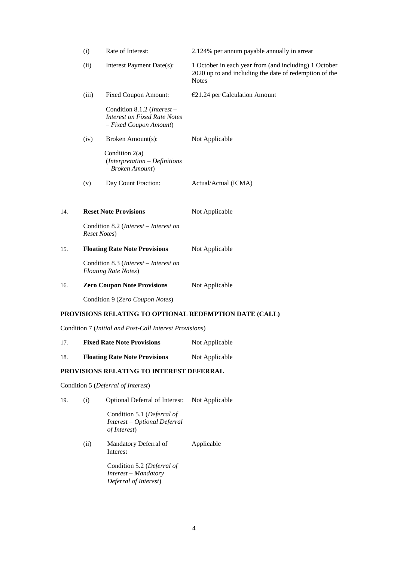| (ii)                         | Interest Payment Date(s):                                                                    | 1 October in each year from (and including) 1 October<br>2020 up to and including the date of redemption of the<br><b>Notes</b> |
|------------------------------|----------------------------------------------------------------------------------------------|---------------------------------------------------------------------------------------------------------------------------------|
| (iii)                        | <b>Fixed Coupon Amount:</b>                                                                  | $E$ 21.24 per Calculation Amount                                                                                                |
|                              | Condition 8.1.2 (Interest -<br><b>Interest on Fixed Rate Notes</b><br>- Fixed Coupon Amount) |                                                                                                                                 |
| (iv)                         | Broken Amount(s):                                                                            | Not Applicable                                                                                                                  |
|                              | Condition $2(a)$<br>$(Interpretation - Definitions$<br>- Broken Amount)                      |                                                                                                                                 |
| (v)                          | Day Count Fraction:                                                                          | Actual/Actual (ICMA)                                                                                                            |
| 14.                          | <b>Reset Note Provisions</b>                                                                 | Not Applicable                                                                                                                  |
| <b>Reset Notes</b> )         | Condition 8.2 (Interest - Interest on                                                        |                                                                                                                                 |
| 15.                          | <b>Floating Rate Note Provisions</b>                                                         | Not Applicable                                                                                                                  |
| <b>Floating Rate Notes</b> ) | Condition 8.3 (Interest - Interest on                                                        |                                                                                                                                 |
| 16.                          | <b>Zero Coupon Note Provisions</b>                                                           | Not Applicable                                                                                                                  |
|                              | Condition 9 (Zero Coupon Notes)                                                              |                                                                                                                                 |
|                              |                                                                                              | PROVISIONS RELATING TO OPTIONAL REDEMPTION DATE (CALL)                                                                          |

Condition 7 (*Initial and Post-Call Interest Provisions*)

| 17. | <b>Fixed Rate Note Provisions</b>    | Not Applicable |
|-----|--------------------------------------|----------------|
| 18  | <b>Floating Rate Note Provisions</b> | Not Applicable |

# **PROVISIONS RELATING TO INTEREST DEFERRAL**

Condition 5 (*Deferral of Interest*)

19. (i) Optional Deferral of Interest: Not Applicable

Condition 5.1 (*Deferral of Interest – Optional Deferral of Interest*)

(ii) Mandatory Deferral of Interest Applicable

> Condition 5.2 (*Deferral of Interest – Mandatory Deferral of Interest*)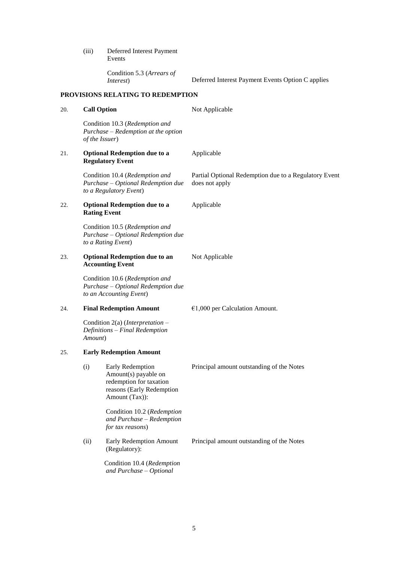(iii) Deferred Interest Payment Events

Condition 5.3 (*Arrears of* 

*Interest*) Deferred Interest Payment Events Option C applies

# **PROVISIONS RELATING TO REDEMPTION**

| 20. | <b>Call Option</b>             |                                                                                                                    | Not Applicable                                                          |
|-----|--------------------------------|--------------------------------------------------------------------------------------------------------------------|-------------------------------------------------------------------------|
|     | of the Issuer)                 | Condition 10.3 (Redemption and<br>Purchase – Redemption at the option                                              |                                                                         |
| 21. |                                | <b>Optional Redemption due to a</b><br><b>Regulatory Event</b>                                                     | Applicable                                                              |
|     |                                | Condition 10.4 (Redemption and<br>Purchase - Optional Redemption due<br>to a Regulatory Event)                     | Partial Optional Redemption due to a Regulatory Event<br>does not apply |
| 22. | <b>Rating Event</b>            | <b>Optional Redemption due to a</b>                                                                                | Applicable                                                              |
|     |                                | Condition 10.5 (Redemption and<br>Purchase - Optional Redemption due<br>to a Rating Event)                         |                                                                         |
| 23. |                                | <b>Optional Redemption due to an</b><br><b>Accounting Event</b>                                                    | Not Applicable                                                          |
|     |                                | Condition 10.6 (Redemption and<br>Purchase - Optional Redemption due<br>to an Accounting Event)                    |                                                                         |
| 24. |                                | <b>Final Redemption Amount</b>                                                                                     | $€1,000$ per Calculation Amount.                                        |
|     | Amount)                        | Condition 2(a) ( <i>Interpretation</i> –<br>Definitions - Final Redemption                                         |                                                                         |
| 25. | <b>Early Redemption Amount</b> |                                                                                                                    |                                                                         |
|     | (i)                            | Early Redemption<br>Amount(s) payable on<br>redemption for taxation<br>reasons (Early Redemption<br>Amount (Tax)): | Principal amount outstanding of the Notes                               |
|     |                                | Condition 10.2 (Redemption<br>and Purchase - Redemption<br>for tax reasons)                                        |                                                                         |
|     | (ii)                           | Early Redemption Amount<br>(Regulatory):                                                                           | Principal amount outstanding of the Notes                               |
|     |                                | Condition 10.4 (Redemption<br>and Purchase - Optional                                                              |                                                                         |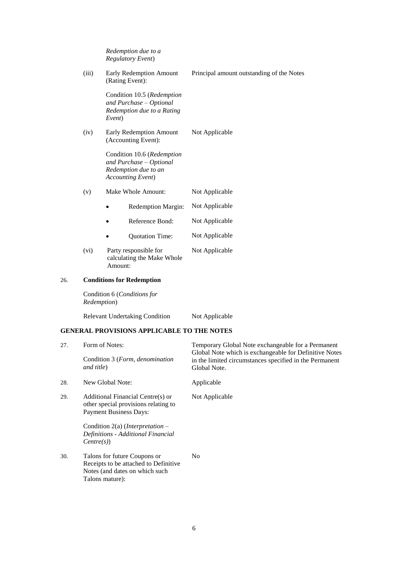|       | Redemption due to a<br><b>Regulatory Event)</b>                                                            |                                           |
|-------|------------------------------------------------------------------------------------------------------------|-------------------------------------------|
| (iii) | <b>Early Redemption Amount</b><br>(Rating Event):                                                          | Principal amount outstanding of the Notes |
|       | Condition 10.5 (Redemption<br>and Purchase - Optional<br>Redemption due to a Rating<br>Event)              |                                           |
| (iv)  | Early Redemption Amount<br>(Accounting Event):                                                             | Not Applicable                            |
|       | Condition 10.6 (Redemption<br>and Purchase - Optional<br>Redemption due to an<br><b>Accounting Event</b> ) |                                           |
| (v)   | Make Whole Amount:                                                                                         | Not Applicable                            |
|       | Redemption Margin:                                                                                         | Not Applicable                            |
|       | Reference Bond:                                                                                            | Not Applicable                            |
|       | Quotation Time:                                                                                            | Not Applicable                            |
| (vi)  | Party responsible for<br>calculating the Make Whole<br>Amount:                                             | Not Applicable                            |

# 26. **Conditions for Redemption**

Condition 6 (*Conditions for Redemption*)

Relevant Undertaking Condition Not Applicable

# **GENERAL PROVISIONS APPLICABLE TO THE NOTES**

| 27. | Form of Notes:                                                                                                             | Temporary Global Note exchangeable for a Permanent<br>Global Note which is exchangeable for Definitive Notes |  |
|-----|----------------------------------------------------------------------------------------------------------------------------|--------------------------------------------------------------------------------------------------------------|--|
|     | Condition 3 (Form, denomination<br>and title)                                                                              | in the limited circumstances specified in the Permanent<br>Global Note.                                      |  |
| 28. | New Global Note:                                                                                                           | Applicable                                                                                                   |  |
| 29. | Additional Financial Centre(s) or<br>other special provisions relating to<br><b>Payment Business Days:</b>                 | Not Applicable                                                                                               |  |
|     | Condition $2(a)$ ( <i>Interpretation</i> –<br>Definitions - Additional Financial<br>Centre(s))                             |                                                                                                              |  |
| 30. | Talons for future Coupons or<br>Receipts to be attached to Definitive<br>Notes (and dates on which such<br>Talons mature): | N <sub>0</sub>                                                                                               |  |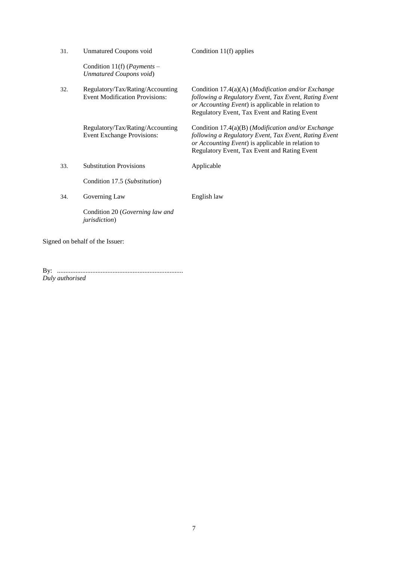| 31. | <b>Unmatured Coupons void</b>                                             | Condition $11(f)$ applies                                                                                                                                                                                                  |  |
|-----|---------------------------------------------------------------------------|----------------------------------------------------------------------------------------------------------------------------------------------------------------------------------------------------------------------------|--|
|     | Condition 11(f) ( <i>Payments</i> –<br>Unmatured Coupons void)            |                                                                                                                                                                                                                            |  |
| 32. | Regulatory/Tax/Rating/Accounting<br><b>Event Modification Provisions:</b> | Condition $17.4(a)(A)$ ( <i>Modification and/or Exchange</i><br>following a Regulatory Event, Tax Event, Rating Event<br>or Accounting Event) is applicable in relation to<br>Regulatory Event, Tax Event and Rating Event |  |
|     | Regulatory/Tax/Rating/Accounting<br><b>Event Exchange Provisions:</b>     | Condition $17.4(a)(B)$ ( <i>Modification and/or Exchange</i><br>following a Regulatory Event, Tax Event, Rating Event<br>or Accounting Event) is applicable in relation to<br>Regulatory Event, Tax Event and Rating Event |  |
| 33. | <b>Substitution Provisions</b>                                            | Applicable                                                                                                                                                                                                                 |  |
|     | Condition 17.5 (Substitution)                                             |                                                                                                                                                                                                                            |  |
| 34. | Governing Law                                                             | English law                                                                                                                                                                                                                |  |
|     | Condition 20 (Governing law and<br><i>jurisdiction</i> )                  |                                                                                                                                                                                                                            |  |
|     | Signed on behalf of the Issuer:                                           |                                                                                                                                                                                                                            |  |

By: ........................................................................... *Duly authorised*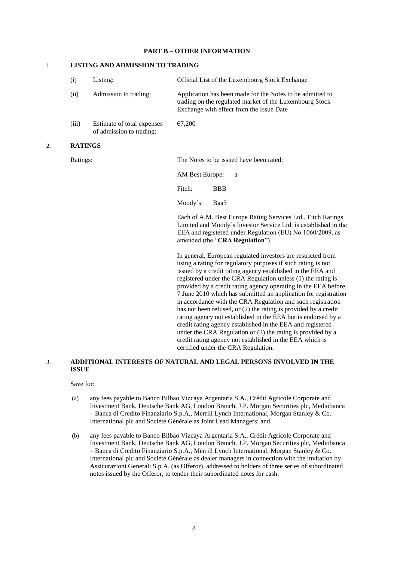### **PART B – OTHER INFORMATION**

## 1. **LISTING AND ADMISSION TO TRADING**

|    | (i)            | Listing:                                               | Official List of the Luxembourg Stock Exchange                                                                                                                                                                                                                                                                                                                                                                                                                                                                                                                                                                                                                                                                                   |
|----|----------------|--------------------------------------------------------|----------------------------------------------------------------------------------------------------------------------------------------------------------------------------------------------------------------------------------------------------------------------------------------------------------------------------------------------------------------------------------------------------------------------------------------------------------------------------------------------------------------------------------------------------------------------------------------------------------------------------------------------------------------------------------------------------------------------------------|
|    | (ii)           | Admission to trading:                                  | Application has been made for the Notes to be admitted to<br>trading on the regulated market of the Luxembourg Stock<br>Exchange with effect from the Issue Date                                                                                                                                                                                                                                                                                                                                                                                                                                                                                                                                                                 |
|    | (iii)          | Estimate of total expenses<br>of admission to trading: | €7,200                                                                                                                                                                                                                                                                                                                                                                                                                                                                                                                                                                                                                                                                                                                           |
| 2. | <b>RATINGS</b> |                                                        |                                                                                                                                                                                                                                                                                                                                                                                                                                                                                                                                                                                                                                                                                                                                  |
|    | Ratings:       |                                                        | The Notes to be issued have been rated:                                                                                                                                                                                                                                                                                                                                                                                                                                                                                                                                                                                                                                                                                          |
|    |                |                                                        | AM Best Europe:<br>$a-$                                                                                                                                                                                                                                                                                                                                                                                                                                                                                                                                                                                                                                                                                                          |
|    |                |                                                        | Fitch:<br><b>BBB</b>                                                                                                                                                                                                                                                                                                                                                                                                                                                                                                                                                                                                                                                                                                             |
|    |                |                                                        | Moody's:<br>Baa3                                                                                                                                                                                                                                                                                                                                                                                                                                                                                                                                                                                                                                                                                                                 |
|    |                |                                                        | Each of A.M. Best Europe Rating Services Ltd., Fitch Ratings<br>Limited and Moody's Investor Service Ltd. is established in the<br>EEA and registered under Regulation (EU) No 1060/2009, as<br>amended (the "CRA Regulation").                                                                                                                                                                                                                                                                                                                                                                                                                                                                                                  |
|    |                |                                                        | In general, European regulated investors are restricted from<br>using a rating for regulatory purposes if such rating is not<br>issued by a credit rating agency established in the EEA and<br>registered under the CRA Regulation unless (1) the rating is<br>provided by a credit rating agency operating in the EEA before<br>7 June 2010 which has submitted an application for registration<br>in accordance with the CRA Regulation and such registration<br>has not been refused, or (2) the rating is provided by a credit<br>rating agency not established in the EEA but is endorsed by a<br>credit rating agency established in the EEA and registered<br>under the CRA Regulation or (3) the rating is provided by a |

## 3. **ADDITIONAL INTERESTS OF NATURAL AND LEGAL PERSONS INVOLVED IN THE ISSUE**

## Save for:

(a) any fees payable to Banco Bilbao Vizcaya Argentaria S.A., Crédit Agricole Corporate and Investment Bank, Deutsche Bank AG, London Branch, J.P. Morgan Securities plc, Mediobanca – Banca di Credito Finanziario S.p.A., Merrill Lynch International, Morgan Stanley & Co. International plc and Société Générale as Joint Lead Managers; and

credit rating agency not established in the EEA which is

certified under the CRA Regulation.

(b) any fees payable to Banco Bilbao Vizcaya Argentaria S.A., Crédit Agricole Corporate and Investment Bank, Deutsche Bank AG, London Branch, J.P. Morgan Securities plc, Mediobanca – Banca di Credito Finanziario S.p.A., Merrill Lynch International, Morgan Stanley & Co. International plc and Société Générale as dealer managers in connection with the invitation by Assicurazioni Generali S.p.A. (as Offeror), addressed to holders of three series of subordinated notes issued by the Offeror, to tender their subordinated notes for cash,